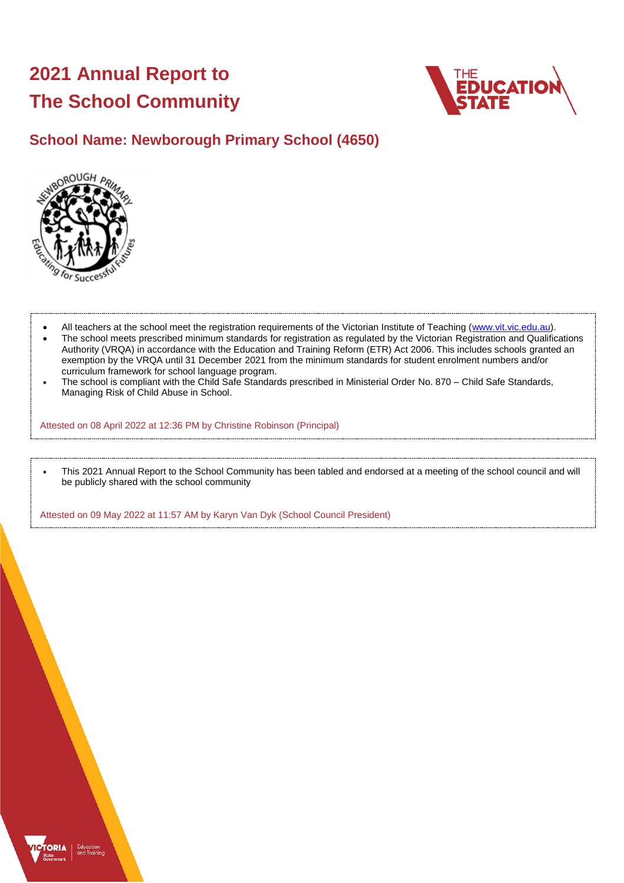# **2021 Annual Report to The School Community**



## **School Name: Newborough Primary School (4650)**



- All teachers at the school meet the registration requirements of the Victorian Institute of Teaching [\(www.vit.vic.edu.au\)](https://www.vit.vic.edu.au/).
- The school meets prescribed minimum standards for registration as regulated by the Victorian Registration and Qualifications Authority (VRQA) in accordance with the Education and Training Reform (ETR) Act 2006. This includes schools granted an exemption by the VRQA until 31 December 2021 from the minimum standards for student enrolment numbers and/or curriculum framework for school language program.
- The school is compliant with the Child Safe Standards prescribed in Ministerial Order No. 870 Child Safe Standards, Managing Risk of Child Abuse in School.

Attested on 08 April 2022 at 12:36 PM by Christine Robinson (Principal)

• This 2021 Annual Report to the School Community has been tabled and endorsed at a meeting of the school council and will be publicly shared with the school community

Attested on 09 May 2022 at 11:57 AM by Karyn Van Dyk (School Council President)

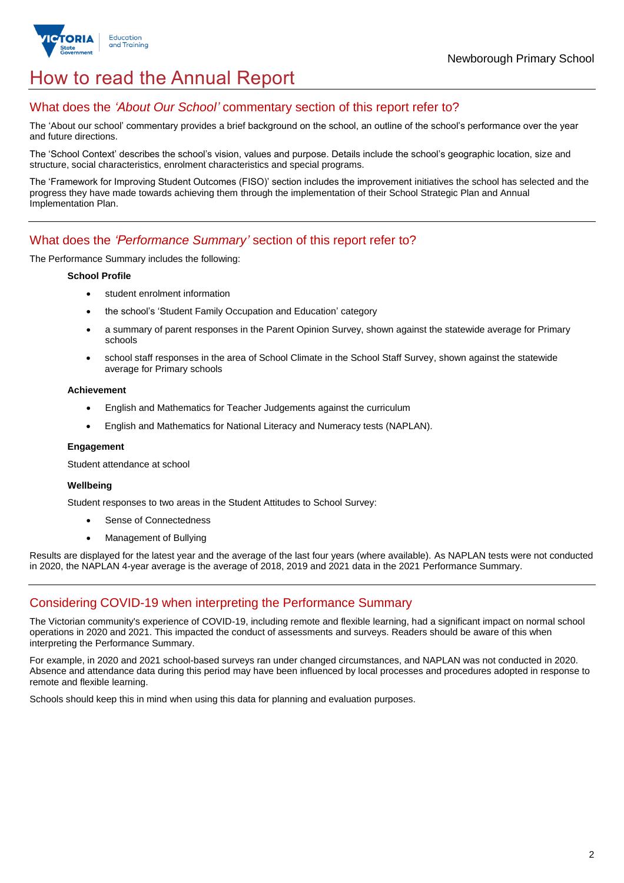

## How to read the Annual Report

### What does the *'About Our School'* commentary section of this report refer to?

The 'About our school' commentary provides a brief background on the school, an outline of the school's performance over the year and future directions.

The 'School Context' describes the school's vision, values and purpose. Details include the school's geographic location, size and structure, social characteristics, enrolment characteristics and special programs.

The 'Framework for Improving Student Outcomes (FISO)' section includes the improvement initiatives the school has selected and the progress they have made towards achieving them through the implementation of their School Strategic Plan and Annual Implementation Plan.

### What does the *'Performance Summary'* section of this report refer to?

The Performance Summary includes the following:

#### **School Profile**

- student enrolment information
- the school's 'Student Family Occupation and Education' category
- a summary of parent responses in the Parent Opinion Survey, shown against the statewide average for Primary schools
- school staff responses in the area of School Climate in the School Staff Survey, shown against the statewide average for Primary schools

#### **Achievement**

- English and Mathematics for Teacher Judgements against the curriculum
- English and Mathematics for National Literacy and Numeracy tests (NAPLAN).

#### **Engagement**

Student attendance at school

#### **Wellbeing**

Student responses to two areas in the Student Attitudes to School Survey:

- Sense of Connectedness
- Management of Bullying

Results are displayed for the latest year and the average of the last four years (where available). As NAPLAN tests were not conducted in 2020, the NAPLAN 4-year average is the average of 2018, 2019 and 2021 data in the 2021 Performance Summary.

## Considering COVID-19 when interpreting the Performance Summary

The Victorian community's experience of COVID-19, including remote and flexible learning, had a significant impact on normal school operations in 2020 and 2021. This impacted the conduct of assessments and surveys. Readers should be aware of this when interpreting the Performance Summary.

For example, in 2020 and 2021 school-based surveys ran under changed circumstances, and NAPLAN was not conducted in 2020. Absence and attendance data during this period may have been influenced by local processes and procedures adopted in response to remote and flexible learning.

Schools should keep this in mind when using this data for planning and evaluation purposes.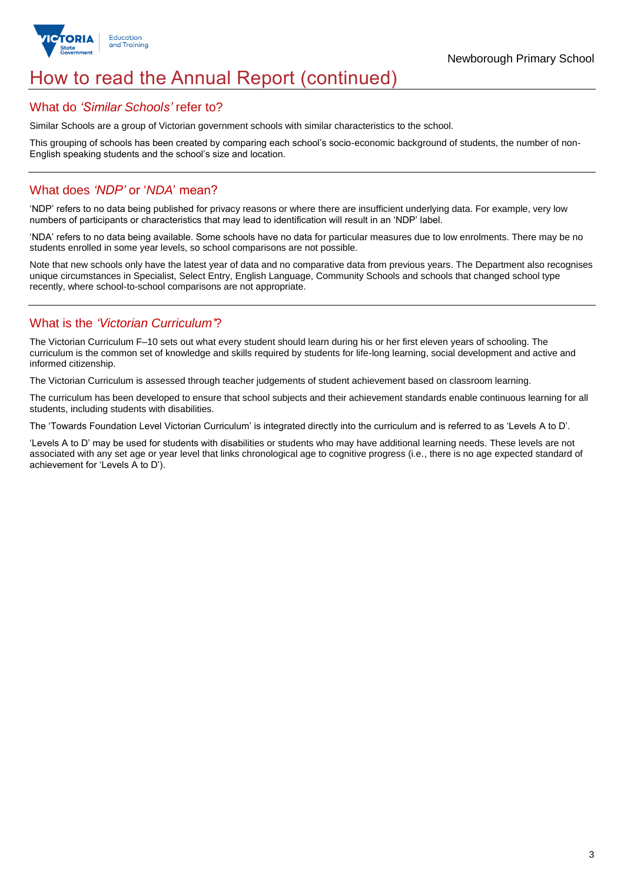

## How to read the Annual Report (continued)

#### What do *'Similar Schools'* refer to?

Similar Schools are a group of Victorian government schools with similar characteristics to the school.

This grouping of schools has been created by comparing each school's socio-economic background of students, the number of non-English speaking students and the school's size and location.

### What does *'NDP'* or '*NDA*' mean?

'NDP' refers to no data being published for privacy reasons or where there are insufficient underlying data. For example, very low numbers of participants or characteristics that may lead to identification will result in an 'NDP' label.

'NDA' refers to no data being available. Some schools have no data for particular measures due to low enrolments. There may be no students enrolled in some year levels, so school comparisons are not possible.

Note that new schools only have the latest year of data and no comparative data from previous years. The Department also recognises unique circumstances in Specialist, Select Entry, English Language, Community Schools and schools that changed school type recently, where school-to-school comparisons are not appropriate.

## What is the *'Victorian Curriculum'*?

The Victorian Curriculum F–10 sets out what every student should learn during his or her first eleven years of schooling. The curriculum is the common set of knowledge and skills required by students for life-long learning, social development and active and informed citizenship.

The Victorian Curriculum is assessed through teacher judgements of student achievement based on classroom learning.

The curriculum has been developed to ensure that school subjects and their achievement standards enable continuous learning for all students, including students with disabilities.

The 'Towards Foundation Level Victorian Curriculum' is integrated directly into the curriculum and is referred to as 'Levels A to D'.

'Levels A to D' may be used for students with disabilities or students who may have additional learning needs. These levels are not associated with any set age or year level that links chronological age to cognitive progress (i.e., there is no age expected standard of achievement for 'Levels A to D').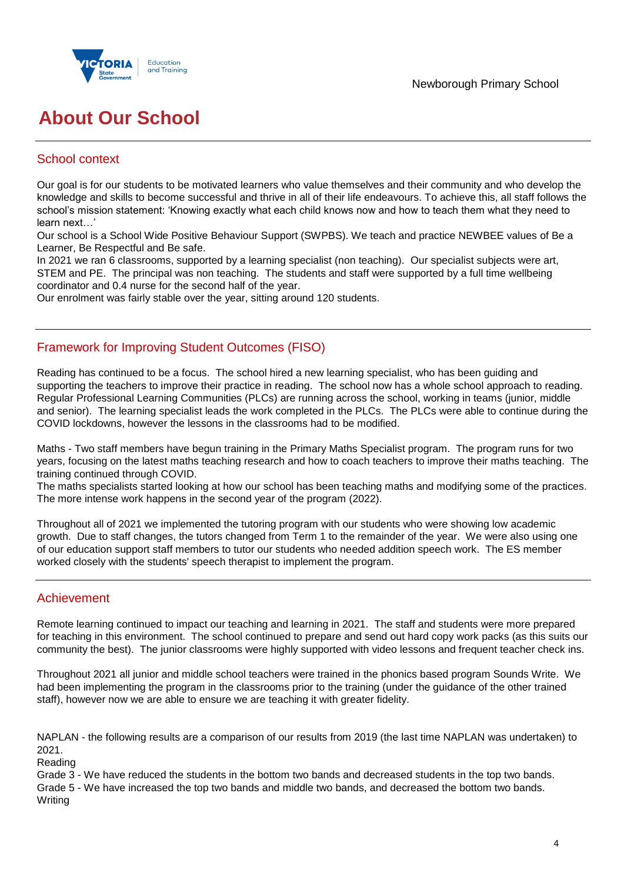



# **About Our School**

## School context

Our goal is for our students to be motivated learners who value themselves and their community and who develop the knowledge and skills to become successful and thrive in all of their life endeavours. To achieve this, all staff follows the school's mission statement: 'Knowing exactly what each child knows now and how to teach them what they need to learn next…'

Our school is a School Wide Positive Behaviour Support (SWPBS). We teach and practice NEWBEE values of Be a Learner, Be Respectful and Be safe.

In 2021 we ran 6 classrooms, supported by a learning specialist (non teaching). Our specialist subjects were art, STEM and PE. The principal was non teaching. The students and staff were supported by a full time wellbeing coordinator and 0.4 nurse for the second half of the year.

Our enrolment was fairly stable over the year, sitting around 120 students.

## Framework for Improving Student Outcomes (FISO)

Reading has continued to be a focus. The school hired a new learning specialist, who has been guiding and supporting the teachers to improve their practice in reading. The school now has a whole school approach to reading. Regular Professional Learning Communities (PLCs) are running across the school, working in teams (junior, middle and senior). The learning specialist leads the work completed in the PLCs. The PLCs were able to continue during the COVID lockdowns, however the lessons in the classrooms had to be modified.

Maths - Two staff members have begun training in the Primary Maths Specialist program. The program runs for two years, focusing on the latest maths teaching research and how to coach teachers to improve their maths teaching. The training continued through COVID.

The maths specialists started looking at how our school has been teaching maths and modifying some of the practices. The more intense work happens in the second year of the program (2022).

Throughout all of 2021 we implemented the tutoring program with our students who were showing low academic growth. Due to staff changes, the tutors changed from Term 1 to the remainder of the year. We were also using one of our education support staff members to tutor our students who needed addition speech work. The ES member worked closely with the students' speech therapist to implement the program.

## Achievement

Remote learning continued to impact our teaching and learning in 2021. The staff and students were more prepared for teaching in this environment. The school continued to prepare and send out hard copy work packs (as this suits our community the best). The junior classrooms were highly supported with video lessons and frequent teacher check ins.

Throughout 2021 all junior and middle school teachers were trained in the phonics based program Sounds Write. We had been implementing the program in the classrooms prior to the training (under the guidance of the other trained staff), however now we are able to ensure we are teaching it with greater fidelity.

NAPLAN - the following results are a comparison of our results from 2019 (the last time NAPLAN was undertaken) to 2021.

Reading

Grade 3 - We have reduced the students in the bottom two bands and decreased students in the top two bands. Grade 5 - We have increased the top two bands and middle two bands, and decreased the bottom two bands. **Writing**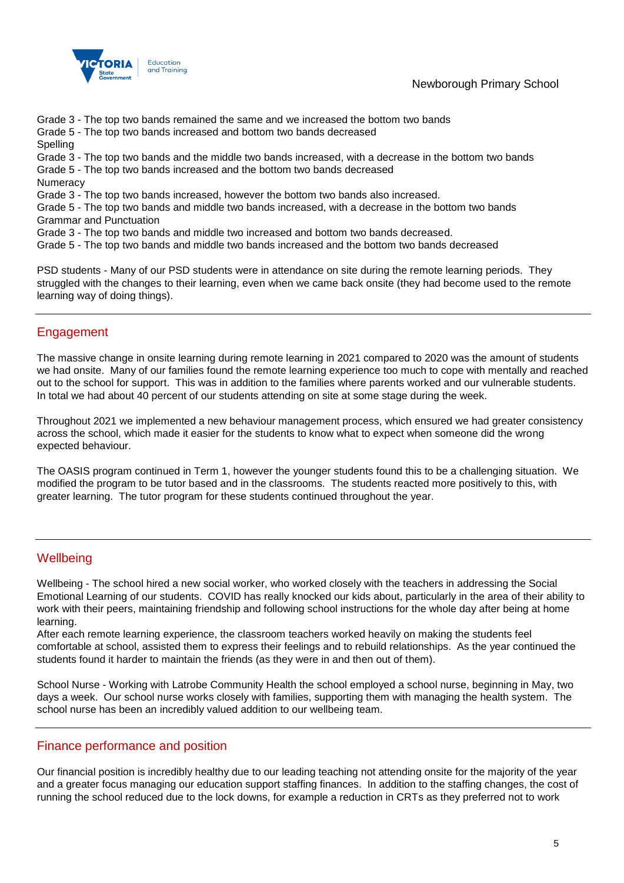

Newborough Primary School

Grade 3 - The top two bands remained the same and we increased the bottom two bands

Grade 5 - The top two bands increased and bottom two bands decreased

**Spelling** 

Grade 3 - The top two bands and the middle two bands increased, with a decrease in the bottom two bands

Grade 5 - The top two bands increased and the bottom two bands decreased

**Numeracy** 

Grade 3 - The top two bands increased, however the bottom two bands also increased.

Grade 5 - The top two bands and middle two bands increased, with a decrease in the bottom two bands Grammar and Punctuation

Grade 3 - The top two bands and middle two increased and bottom two bands decreased.

Grade 5 - The top two bands and middle two bands increased and the bottom two bands decreased

PSD students - Many of our PSD students were in attendance on site during the remote learning periods. They struggled with the changes to their learning, even when we came back onsite (they had become used to the remote learning way of doing things).

## Engagement

The massive change in onsite learning during remote learning in 2021 compared to 2020 was the amount of students we had onsite. Many of our families found the remote learning experience too much to cope with mentally and reached out to the school for support. This was in addition to the families where parents worked and our vulnerable students. In total we had about 40 percent of our students attending on site at some stage during the week.

Throughout 2021 we implemented a new behaviour management process, which ensured we had greater consistency across the school, which made it easier for the students to know what to expect when someone did the wrong expected behaviour.

The OASIS program continued in Term 1, however the younger students found this to be a challenging situation. We modified the program to be tutor based and in the classrooms. The students reacted more positively to this, with greater learning. The tutor program for these students continued throughout the year.

## **Wellbeing**

Wellbeing - The school hired a new social worker, who worked closely with the teachers in addressing the Social Emotional Learning of our students. COVID has really knocked our kids about, particularly in the area of their ability to work with their peers, maintaining friendship and following school instructions for the whole day after being at home learning.

After each remote learning experience, the classroom teachers worked heavily on making the students feel comfortable at school, assisted them to express their feelings and to rebuild relationships. As the year continued the students found it harder to maintain the friends (as they were in and then out of them).

School Nurse - Working with Latrobe Community Health the school employed a school nurse, beginning in May, two days a week. Our school nurse works closely with families, supporting them with managing the health system. The school nurse has been an incredibly valued addition to our wellbeing team.

### Finance performance and position

Our financial position is incredibly healthy due to our leading teaching not attending onsite for the majority of the year and a greater focus managing our education support staffing finances. In addition to the staffing changes, the cost of running the school reduced due to the lock downs, for example a reduction in CRTs as they preferred not to work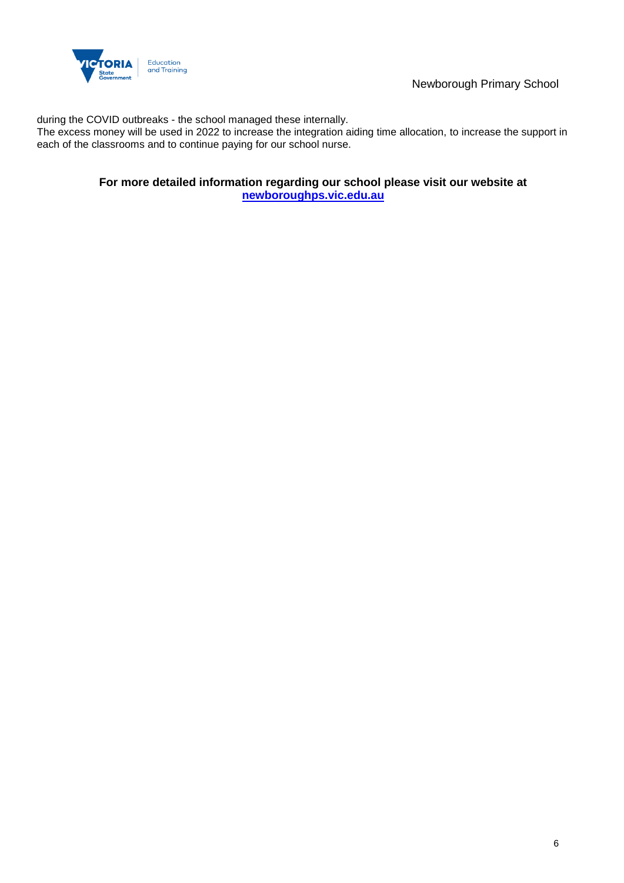

Newborough Primary School

during the COVID outbreaks - the school managed these internally.

The excess money will be used in 2022 to increase the integration aiding time allocation, to increase the support in each of the classrooms and to continue paying for our school nurse.

> **For more detailed information regarding our school please visit our website at <newboroughps.vic.edu.au>**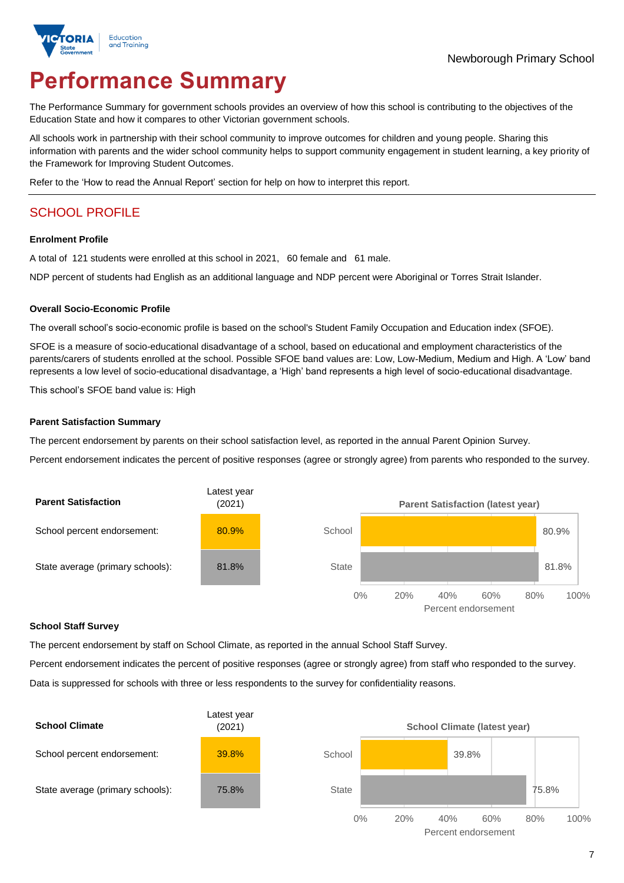

# **Performance Summary**

The Performance Summary for government schools provides an overview of how this school is contributing to the objectives of the Education State and how it compares to other Victorian government schools.

All schools work in partnership with their school community to improve outcomes for children and young people. Sharing this information with parents and the wider school community helps to support community engagement in student learning, a key priority of the Framework for Improving Student Outcomes.

Refer to the 'How to read the Annual Report' section for help on how to interpret this report.

## SCHOOL PROFILE

#### **Enrolment Profile**

A total of 121 students were enrolled at this school in 2021, 60 female and 61 male.

NDP percent of students had English as an additional language and NDP percent were Aboriginal or Torres Strait Islander.

#### **Overall Socio-Economic Profile**

The overall school's socio-economic profile is based on the school's Student Family Occupation and Education index (SFOE).

SFOE is a measure of socio-educational disadvantage of a school, based on educational and employment characteristics of the parents/carers of students enrolled at the school. Possible SFOE band values are: Low, Low-Medium, Medium and High. A 'Low' band represents a low level of socio-educational disadvantage, a 'High' band represents a high level of socio-educational disadvantage.

This school's SFOE band value is: High

#### **Parent Satisfaction Summary**

The percent endorsement by parents on their school satisfaction level, as reported in the annual Parent Opinion Survey.

Percent endorsement indicates the percent of positive responses (agree or strongly agree) from parents who responded to the survey.



#### **School Staff Survey**

The percent endorsement by staff on School Climate, as reported in the annual School Staff Survey.

Percent endorsement indicates the percent of positive responses (agree or strongly agree) from staff who responded to the survey. Data is suppressed for schools with three or less respondents to the survey for confidentiality reasons.

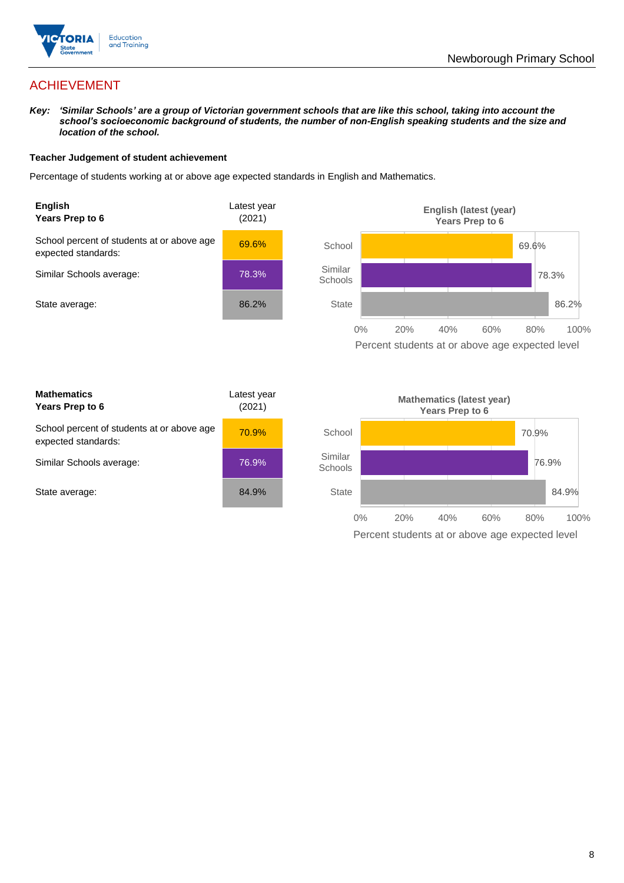

## ACHIEVEMENT

*Key: 'Similar Schools' are a group of Victorian government schools that are like this school, taking into account the school's socioeconomic background of students, the number of non-English speaking students and the size and location of the school.*

#### **Teacher Judgement of student achievement**

Percentage of students working at or above age expected standards in English and Mathematics.



Percent students at or above age expected level

| <b>Mathematics</b><br>Years Prep to 6                             | Latest year<br>(2021) |
|-------------------------------------------------------------------|-----------------------|
| School percent of students at or above age<br>expected standards: | 70.9%                 |
| Similar Schools average:                                          | 76.9%                 |
| State average:                                                    | 84.9%                 |

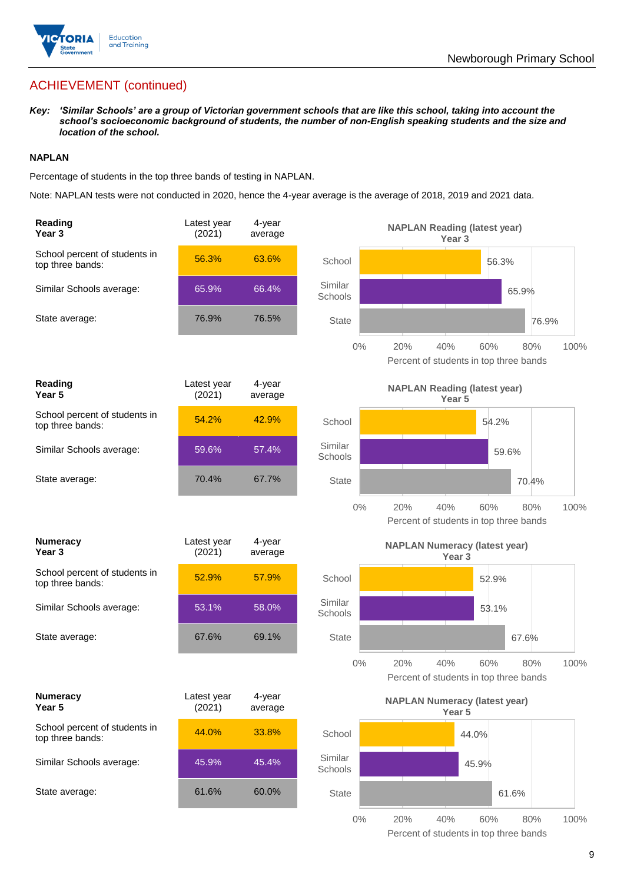

## ACHIEVEMENT (continued)

*Key: 'Similar Schools' are a group of Victorian government schools that are like this school, taking into account the school's socioeconomic background of students, the number of non-English speaking students and the size and location of the school.*

#### **NAPLAN**

Percentage of students in the top three bands of testing in NAPLAN.

Note: NAPLAN tests were not conducted in 2020, hence the 4-year average is the average of 2018, 2019 and 2021 data.

| Reading<br>Year 3                                 | Latest year<br>(2021) | 4-year<br>average |                    | <b>NAPLAN Reading (latest year)</b><br>Year <sub>3</sub>                   |
|---------------------------------------------------|-----------------------|-------------------|--------------------|----------------------------------------------------------------------------|
| School percent of students in<br>top three bands: | 56.3%                 | 63.6%             | School             | 56.3%                                                                      |
| Similar Schools average:                          | 65.9%                 | 66.4%             | Similar<br>Schools | 65.9%                                                                      |
| State average:                                    | 76.9%                 | 76.5%             | <b>State</b>       | 76.9%                                                                      |
|                                                   |                       |                   | $0\%$              | 20%<br>40%<br>60%<br>80%<br>100%<br>Percent of students in top three bands |
| Reading<br>Year <sub>5</sub>                      | Latest year<br>(2021) | 4-year<br>average |                    | <b>NAPLAN Reading (latest year)</b><br>Year 5                              |
| School percent of students in<br>top three bands: | 54.2%                 | 42.9%             | School             | 54.2%                                                                      |
| Similar Schools average:                          | 59.6%                 | 57.4%             | Similar<br>Schools | 59.6%                                                                      |
| State average:                                    | 70.4%                 | 67.7%             | <b>State</b>       | 70.4%                                                                      |
|                                                   |                       |                   | $0\%$              | 20%<br>40%<br>60%<br>100%<br>80%<br>Percent of students in top three bands |
| <b>Numeracy</b><br>Year <sub>3</sub>              | Latest year<br>(2021) | 4-year<br>average |                    | <b>NAPLAN Numeracy (latest year)</b><br>Year <sub>3</sub>                  |
| School percent of students in<br>top three bands: | 52.9%                 | 57.9%             | School             | 52.9%                                                                      |
| Similar Schools average:                          | 53.1%                 | 58.0%             | Similar<br>Schools | 53.1%                                                                      |
| State average:                                    | 67.6%                 | 69.1%             | <b>State</b>       | 67.6%                                                                      |
|                                                   |                       |                   | $0\%$              | 100%<br>20%<br>40%<br>60%<br>80%<br>Percent of students in top three bands |
| <b>Numeracy</b><br>Year 5                         | Latest year<br>(2021) | 4-year<br>average |                    | <b>NAPLAN Numeracy (latest year)</b><br>Year 5                             |
| School percent of students in<br>top three bands: | 44.0%                 | 33.8%             | School             | 44.0%                                                                      |
| Similar Schools average:                          | 45.9%                 | 45.4%             | Similar<br>Schools | 45.9%                                                                      |
| State average:                                    | 61.6%                 | 60.0%             | <b>State</b>       | 61.6%                                                                      |
|                                                   |                       |                   |                    |                                                                            |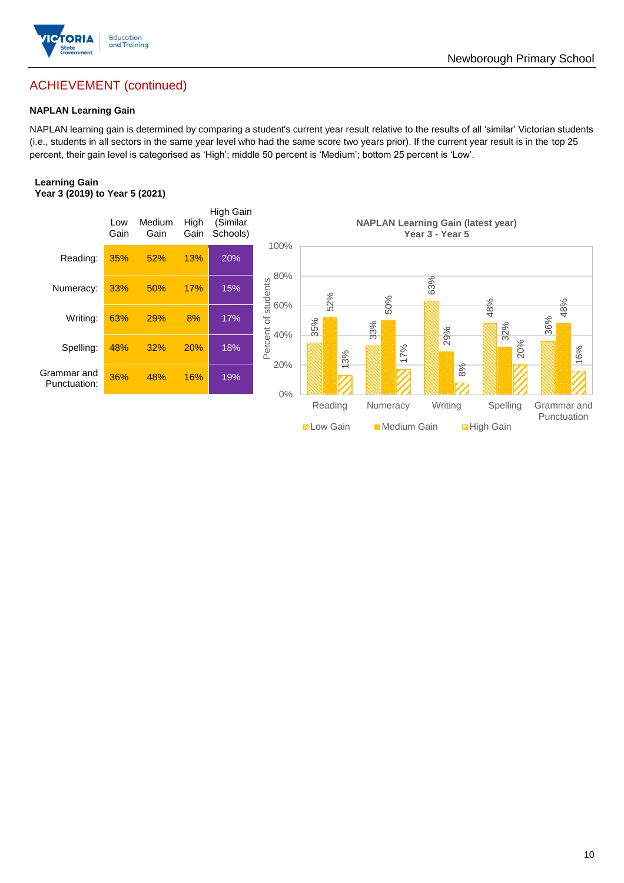

## ACHIEVEMENT (continued)

#### **NAPLAN Learning Gain**

NAPLAN learning gain is determined by comparing a student's current year result relative to the results of all 'similar' Victorian students (i.e., students in all sectors in the same year level who had the same score two years prior). If the current year result is in the top 25 percent, their gain level is categorised as 'High'; middle 50 percent is 'Medium'; bottom 25 percent is 'Low'.

Newborough Primary School

#### **Learning Gain Year 3 (2019) to Year 5 (2021)**



**BLow Gain** Medium Gain **Example 10**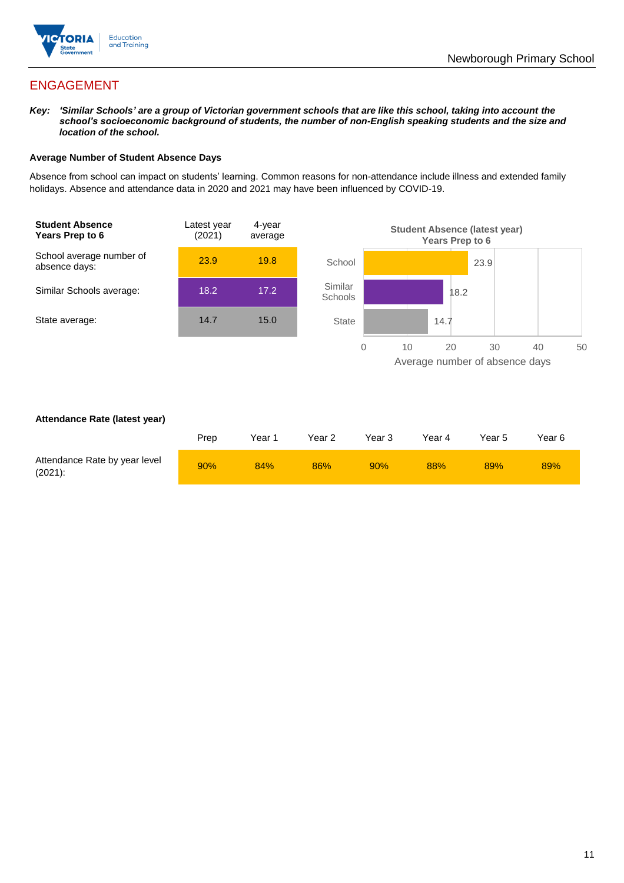

## ENGAGEMENT

*Key: 'Similar Schools' are a group of Victorian government schools that are like this school, taking into account the school's socioeconomic background of students, the number of non-English speaking students and the size and location of the school.*

#### **Average Number of Student Absence Days**

Absence from school can impact on students' learning. Common reasons for non-attendance include illness and extended family holidays. Absence and attendance data in 2020 and 2021 may have been influenced by COVID-19.



#### **Attendance Rate (latest year)**

|                                             | Prep | Year 1 | Year 2 | Year 3 | Year 4 | Year 5 | Year 6 |
|---------------------------------------------|------|--------|--------|--------|--------|--------|--------|
| Attendance Rate by year level<br>$(2021)$ : | 90%  | 84%    | 86%    | 90%    | 88%    | 89%    | 89%    |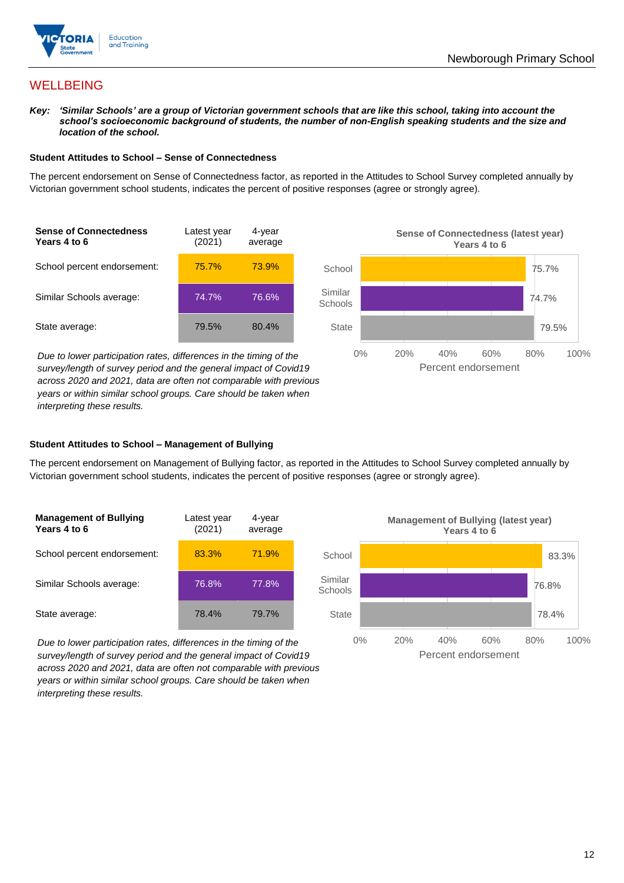

## **WELLBEING**

*Key: 'Similar Schools' are a group of Victorian government schools that are like this school, taking into account the school's socioeconomic background of students, the number of non-English speaking students and the size and location of the school.*

#### **Student Attitudes to School – Sense of Connectedness**

The percent endorsement on Sense of Connectedness factor, as reported in the Attitudes to School Survey completed annually by Victorian government school students, indicates the percent of positive responses (agree or strongly agree).



*Due to lower participation rates, differences in the timing of the survey/length of survey period and the general impact of Covid19 across 2020 and 2021, data are often not comparable with previous years or within similar school groups. Care should be taken when interpreting these results.*



#### **Student Attitudes to School – Management of Bullying**

The percent endorsement on Management of Bullying factor, as reported in the Attitudes to School Survey completed annually by Victorian government school students, indicates the percent of positive responses (agree or strongly agree).

| <b>Management of Bullying</b><br>Years 4 to 6 | Latest year<br>(2021) | 4-year<br>average |  |
|-----------------------------------------------|-----------------------|-------------------|--|
| School percent endorsement:                   | 83.3%                 | 71.9%             |  |
| Similar Schools average:                      | 76.8%                 | 77.8%             |  |
| State average:                                | 78.4%                 | 79.7%             |  |

*Due to lower participation rates, differences in the timing of the survey/length of survey period and the general impact of Covid19 across 2020 and 2021, data are often not comparable with previous years or within similar school groups. Care should be taken when interpreting these results.*

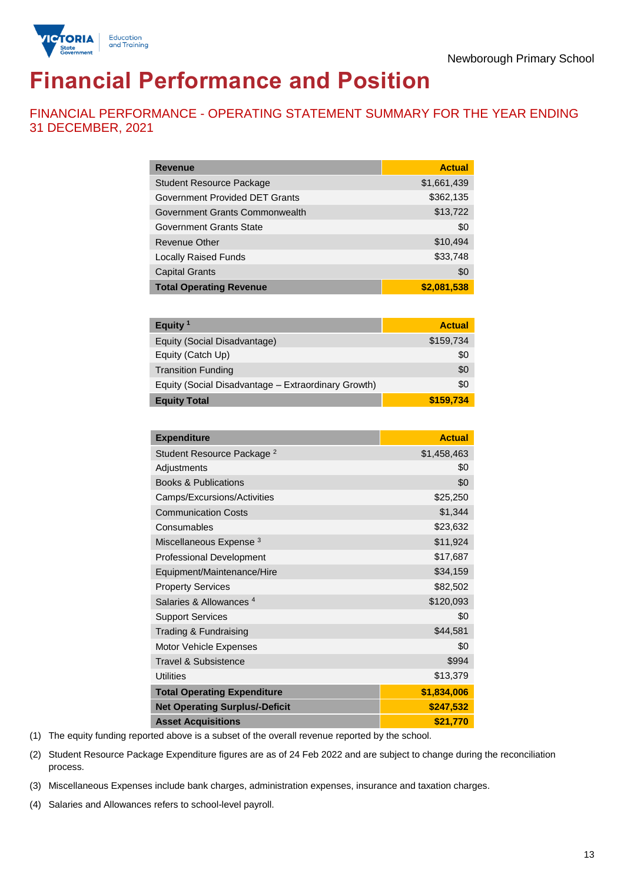

# **Financial Performance and Position**

FINANCIAL PERFORMANCE - OPERATING STATEMENT SUMMARY FOR THE YEAR ENDING 31 DECEMBER, 2021

| <b>Revenue</b>                  | <b>Actual</b> |
|---------------------------------|---------------|
| <b>Student Resource Package</b> | \$1,661,439   |
| Government Provided DET Grants  | \$362,135     |
| Government Grants Commonwealth  | \$13,722      |
| Government Grants State         | \$0           |
| Revenue Other                   | \$10,494      |
| <b>Locally Raised Funds</b>     | \$33,748      |
| <b>Capital Grants</b>           | \$0           |
| <b>Total Operating Revenue</b>  | \$2,081,538   |

| Equity <sup>1</sup>                                 | <b>Actual</b> |
|-----------------------------------------------------|---------------|
| Equity (Social Disadvantage)                        | \$159,734     |
| Equity (Catch Up)                                   | \$0           |
| <b>Transition Funding</b>                           | \$0           |
| Equity (Social Disadvantage - Extraordinary Growth) | \$0           |
| <b>Equity Total</b>                                 | \$159,734     |

| <b>Expenditure</b>                    | <b>Actual</b> |
|---------------------------------------|---------------|
| Student Resource Package <sup>2</sup> | \$1,458,463   |
| Adjustments                           | \$0           |
| <b>Books &amp; Publications</b>       | \$0           |
| Camps/Excursions/Activities           | \$25,250      |
| <b>Communication Costs</b>            | \$1,344       |
| Consumables                           | \$23,632      |
| Miscellaneous Expense <sup>3</sup>    | \$11,924      |
| <b>Professional Development</b>       | \$17,687      |
| Equipment/Maintenance/Hire            | \$34,159      |
| <b>Property Services</b>              | \$82,502      |
| Salaries & Allowances <sup>4</sup>    | \$120,093     |
| <b>Support Services</b>               | \$0           |
| Trading & Fundraising                 | \$44,581      |
| Motor Vehicle Expenses                | \$0           |
| Travel & Subsistence                  | \$994         |
| <b>Utilities</b>                      | \$13,379      |
| <b>Total Operating Expenditure</b>    | \$1,834,006   |
| <b>Net Operating Surplus/-Deficit</b> | \$247,532     |
| <b>Asset Acquisitions</b>             | \$21,770      |

(1) The equity funding reported above is a subset of the overall revenue reported by the school.

(2) Student Resource Package Expenditure figures are as of 24 Feb 2022 and are subject to change during the reconciliation process.

(3) Miscellaneous Expenses include bank charges, administration expenses, insurance and taxation charges.

(4) Salaries and Allowances refers to school-level payroll.